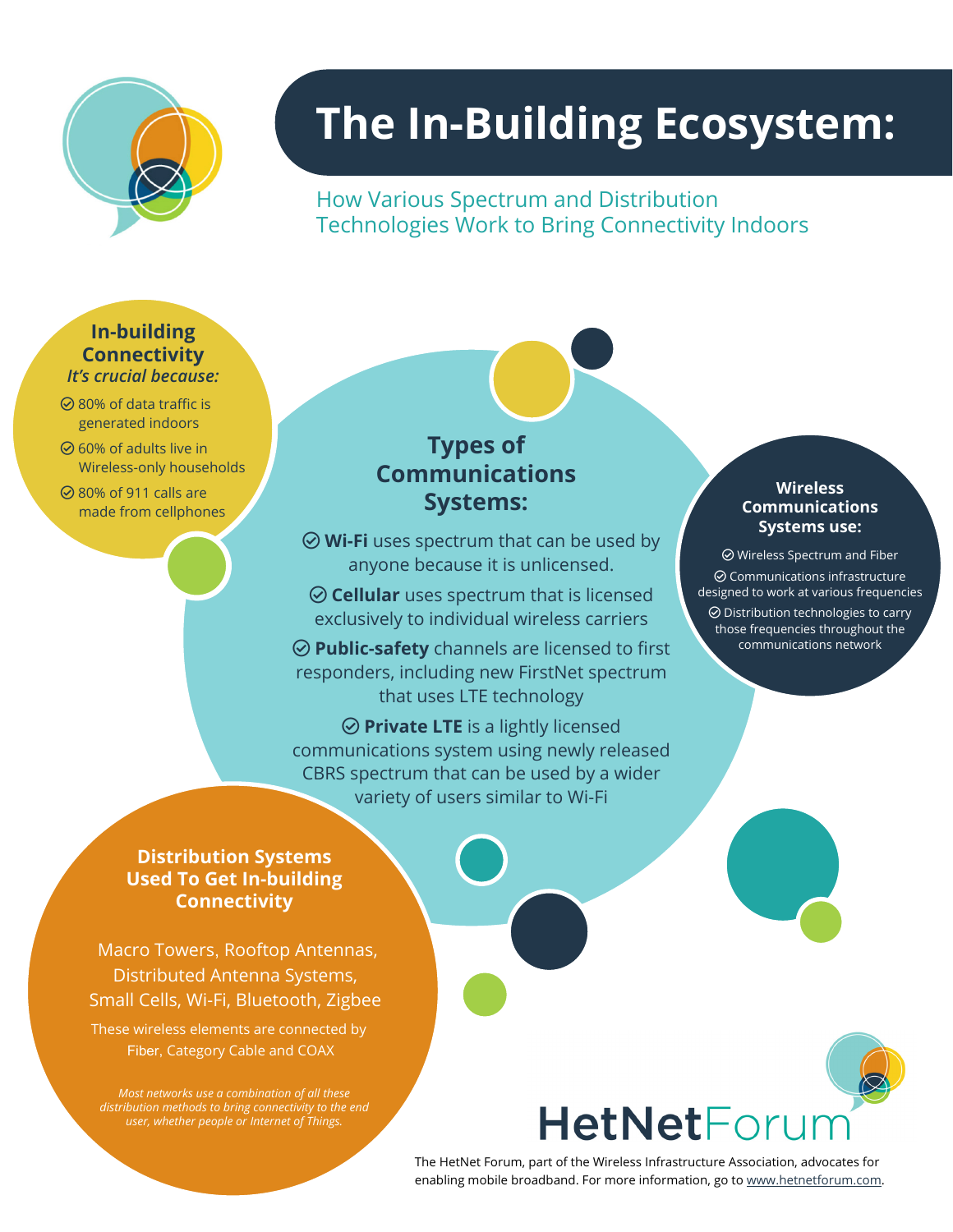

# **The In-Building Ecosystem:**

How Various Spectrum and Distribution Technologies Work to Bring Connectivity Indoors

#### **In-building Connectivity** *It's crucial because:*

- $\odot$  80% of data traffic is generated indoors
- $\odot$  60% of adults live in Wireless-only households
- $\oslash$  80% of 911 calls are made from cellphones

## **Types of Communications Systems:**

anyone because it is unlicensed.  $\odot$  **Wi-Fi** uses spectrum that can be used by

 $\odot$  **Cellular** uses spectrum that is licensed exclusively to individual wireless carriers

 $\odot$  **Public-safety** channels are licensed to first responders, including new FirstNet spectrum that uses LTE technology

communications system using newly released CBRS spectrum that can be used by a wider variety of users similar to Wi-Fi **⊘ Private LTE** is a lightly licensed

#### **Wireless Communications Systems use:**

 $\odot$  Wireless Spectrum and Fiber  $\odot$  Communications infrastructure designed to work at various frequencies  $\odot$  Distribution technologies to carry those frequencies throughout the communications network

### **Distribution Systems Used To Get In-building Connectivity**

Distributed Antenna Systems, Small Cells, Wi-Fi, Bluetooth, Zigbee Macro Towers, Rooftop Antennas,

These wireless elements are connected by Fiber, Category Cable and COAX

*Most networks use a combination of all these distribution methods to bring connectivity to the end user, whether people or Internet of Things.*

## **HetNetForur**

The HetNet Forum, part of the Wireless Infrastructure Association, advocates for enabling mobile broadband. For more information, go to [www.hetnetforum.com.](http://www.hetnetforum.com/)